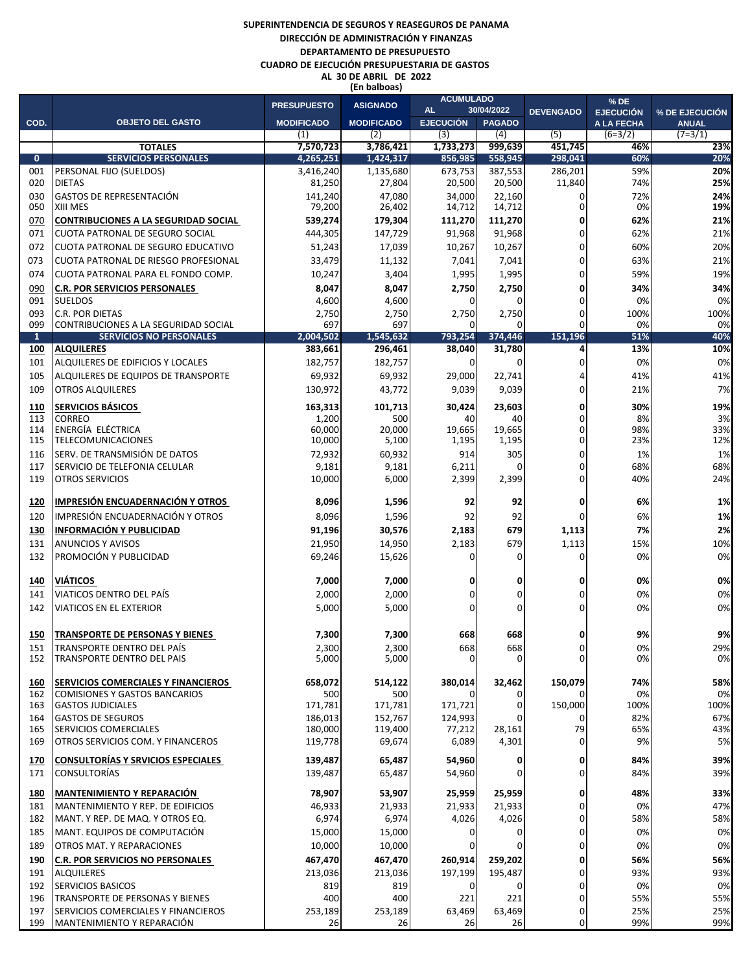## **SUPERINTENDENCIA DE SEGUROS Y REASEGUROS DE PANAMA DIRECCIÓN DE ADMINISTRACIÓN Y FINANZAS DEPARTAMENTO DE PRESUPUESTO CUADRO DE EJECUCIÓN PRESUPUESTARIA DE GASTOS AL 30 DE ABRIL DE 2022 (En balboas)**

|                     |                                                                        | <b>PRESUPUESTO</b>     | <b>ASIGNADO</b>        | <b>ACUMULADO</b><br><b>AL</b><br>30/04/2022 |                    | <b>DEVENGADO</b>   | $%$ DE                         |                                |
|---------------------|------------------------------------------------------------------------|------------------------|------------------------|---------------------------------------------|--------------------|--------------------|--------------------------------|--------------------------------|
| COD.                | <b>OBJETO DEL GASTO</b>                                                | <b>MODIFICADO</b>      | <b>MODIFICADO</b>      | <b>EJECUCIÓN</b>                            | <b>PAGADO</b>      |                    | <b>EJECUCIÓN</b><br>A LA FECHA | % DE EJECUCIÓN<br><b>ANUAL</b> |
|                     |                                                                        | (1)                    | (2)                    | (3)                                         | (4)                | (5)                | $(6=3/2)$                      | $(7=3/1)$                      |
|                     | <b>TOTALES</b>                                                         | 7,570,723              | 3,786,421              | 1,733,273                                   | 999,639<br>558,945 | 451,745            | 46%                            | 23%                            |
| $\mathbf{0}$<br>001 | <b>SERVICIOS PERSONALES</b><br>PERSONAL FIJO (SUELDOS)                 | 4,265,251<br>3,416,240 | 1,424,317<br>1,135,680 | 856,985<br>673,753                          | 387,553            | 298,041<br>286,201 | 60%<br>59%                     | 20%<br>20%                     |
| 020                 | <b>DIETAS</b>                                                          | 81,250                 | 27,804                 | 20,500                                      | 20,500             | 11,840             | 74%                            | 25%                            |
| 030                 | <b>GASTOS DE REPRESENTACIÓN</b>                                        | 141,240                | 47,080                 | 34,000                                      | 22,160             | 0                  | 72%                            | 24%                            |
| 050                 | <b>XIII MES</b>                                                        | 79,200                 | 26,402                 | 14,712                                      | 14,712             | 0                  | 0%                             | 19%                            |
| 070                 | <b>CONTRIBUCIONES A LA SEGURIDAD SOCIAL</b>                            | 539,274                | 179,304                | 111,270                                     | 111,270            | 0                  | 62%                            | 21%                            |
| 071                 | CUOTA PATRONAL DE SEGURO SOCIAL                                        | 444,305                | 147,729                | 91,968                                      | 91,968             | 0                  | 62%                            | 21%                            |
| 072                 | ICUOTA PATRONAL DE SEGURO EDUCATIVO                                    | 51,243                 | 17,039                 | 10,267                                      | 10,267             | 0                  | 60%                            | 20%                            |
| 073                 | CUOTA PATRONAL DE RIESGO PROFESIONAL                                   | 33,479                 | 11,132                 | 7,041                                       | 7,041              | 0                  | 63%                            | 21%                            |
| 074                 | CUOTA PATRONAL PARA EL FONDO COMP.                                     | 10,247                 | 3,404                  | 1,995                                       | 1,995              | 0                  | 59%                            | 19%                            |
| 090                 | <b>C.R. POR SERVICIOS PERSONALES</b>                                   | 8,047                  | 8,047                  | 2,750                                       | 2,750              | 0                  | 34%                            | 34%                            |
| 091<br>093          | <b>SUELDOS</b><br><b>C.R. POR DIETAS</b>                               | 4,600<br>2,750         | 4,600<br>2,750         | 0<br>2,750                                  | 0<br>2,750         | 0<br>0             | 0%<br>100%                     | 0%<br>100%                     |
| 099                 | CONTRIBUCIONES A LA SEGURIDAD SOCIAL                                   | 697                    | 697                    |                                             | 0                  | 0                  | 0%                             | 0%                             |
| $\mathbf{1}$        | <b>SERVICIOS NO PERSONALES</b>                                         | 2,004,502              | 1,545,632              | 793,254                                     | 374,446            | 151,196            | 51%                            | 40%                            |
| 100                 | <b>ALQUILERES</b>                                                      | 383,661                | 296,461                | 38,040                                      | 31,780             | 4                  | 13%                            | 10%                            |
| 101                 | ALQUILERES DE EDIFICIOS Y LOCALES                                      | 182,757                | 182,757                | $\overline{0}$                              | 0                  | 0                  | 0%                             | 0%                             |
| 105                 | ALQUILERES DE EQUIPOS DE TRANSPORTE                                    | 69,932                 | 69,932                 | 29,000                                      | 22,741             | 4                  | 41%                            | 41%                            |
| 109                 | <b>OTROS ALQUILERES</b>                                                | 130,972                | 43,772                 | 9,039                                       | 9,039              | 0                  | 21%                            | 7%                             |
| 110                 | <b>SERVICIOS BÁSICOS</b>                                               | 163,313                | 101,713                | 30,424                                      | 23,603             | 0                  | 30%                            | 19%                            |
| 113                 | <b>CORREO</b>                                                          | 1,200                  | 500                    | 40                                          | 40                 | 0                  | 8%                             | 3%                             |
| 114<br>115          | ENERGÍA ELÉCTRICA<br><b>TELECOMUNICACIONES</b>                         | 60,000<br>10,000       | 20,000<br>5,100        | 19,665<br>1,195                             | 19,665<br>1,195    | 0<br>0             | 98%<br>23%                     | 33%<br>12%                     |
| 116                 | SERV. DE TRANSMISIÓN DE DATOS                                          | 72,932                 | 60,932                 | 914                                         | 305                | 0                  | 1%                             | 1%                             |
| 117                 | SERVICIO DE TELEFONIA CELULAR                                          | 9,181                  | 9,181                  | 6,211                                       | 0                  | 0                  | 68%                            | 68%                            |
| 119                 | <b>OTROS SERVICIOS</b>                                                 | 10,000                 | 6,000                  | 2,399                                       | 2,399              | 0                  | 40%                            | 24%                            |
|                     |                                                                        |                        |                        |                                             |                    |                    |                                |                                |
| 120                 | IMPRESIÓN ENCUADERNACIÓN Y OTROS                                       | 8,096                  | 1,596                  | 92                                          | 92                 | 0                  | 6%                             | 1%                             |
| 120                 | IMPRESIÓN ENCUADERNACIÓN Y OTROS                                       | 8,096                  | 1,596                  | 92                                          | 92                 | 0                  | 6%                             | 1%                             |
| 130                 | <b>INFORMACIÓN Y PUBLICIDAD</b>                                        | 91,196                 | 30,576                 | 2,183                                       | 679                | 1,113              | 7%                             | 2%<br>10%                      |
| 131<br>132          | <b>ANUNCIOS Y AVISOS</b><br>PROMOCIÓN Y PUBLICIDAD                     | 21,950<br>69,246       | 14,950<br>15,626       | 2,183<br>0                                  | 679<br>0           | 1,113<br>0         | 15%<br>0%                      | 0%                             |
|                     |                                                                        |                        |                        |                                             |                    |                    |                                |                                |
| 140                 | <b>VIÁTICOS</b>                                                        | 7,000                  | 7,000                  | 0                                           | 0                  | 0                  | 0%                             | 0%                             |
| 141                 | VIATICOS DENTRO DEL PAÍS                                               | 2,000                  | 2,000                  | 0                                           | 0                  | 0                  | 0%                             | 0%                             |
| 142                 | <b>VIATICOS EN EL EXTERIOR</b>                                         | 5,000                  | 5,000                  | 0                                           | 0                  | 0                  | 0%                             | 0%                             |
|                     |                                                                        |                        |                        |                                             |                    |                    |                                |                                |
| 150                 | TRANSPORTE DE PERSONAS Y BIENES                                        | 7,300                  | 7,300                  | 668                                         | 668                | 0                  | 9%                             | 9%                             |
| 151<br>152          | <b>TRANSPORTE DENTRO DEL PAÍS</b><br><b>TRANSPORTE DENTRO DEL PAÍS</b> | 2,300<br>5,000         | 2,300<br>5,000         | 668<br>$\overline{0}$                       | 668<br>0           | 0<br>0             | 0%<br>0%                       | 29%<br>0%                      |
|                     |                                                                        |                        |                        |                                             |                    |                    |                                |                                |
| 160                 | SERVICIOS COMERCIALES Y FINANCIEROS                                    | 658,072                | 514,122                | 380,014                                     | 32,462             | 150,079            | 74%                            | 58%                            |
| 162                 | <b>COMISIONES Y GASTOS BANCARIOS</b>                                   | 500                    | 500                    | 0                                           | 0                  | 0                  | 0%                             | 0%                             |
| 163<br>164          | <b>GASTOS JUDICIALES</b><br><b>GASTOS DE SEGUROS</b>                   | 171,781                | 171,781                | 171,721                                     | 0<br>O             | 150,000            | 100%<br>82%                    | 100%<br>67%                    |
| 165                 | <b>SERVICIOS COMERCIALES</b>                                           | 186,013<br>180,000     | 152,767<br>119,400     | 124,993<br>77,212                           | 28,161             | 0<br>79            | 65%                            | 43%                            |
| 169                 | <b>OTROS SERVICIOS COM. Y FINANCEROS</b>                               | 119,778                | 69,674                 | 6,089                                       | 4,301              | 0                  | 9%                             | 5%                             |
| 170                 | <b>CONSULTORÍAS Y SRVICIOS ESPECIALES</b>                              | 139,487                | 65,487                 | 54,960                                      | 0                  | 0                  | 84%                            | 39%                            |
| 171                 | <b>CONSULTORÍAS</b>                                                    | 139,487                | 65,487                 | 54,960                                      | 0                  | 0                  | 84%                            | 39%                            |
|                     |                                                                        |                        |                        |                                             |                    |                    |                                |                                |
| 180                 | <b>MANTENIMIENTO Y REPARACIÓN</b>                                      | 78,907                 | 53,907                 | 25,959                                      | 25,959             | 0                  | 48%                            | 33%                            |
| 181                 | MANTENIMIENTO Y REP. DE EDIFICIOS                                      | 46,933                 | 21,933                 | 21,933                                      | 21,933             | 0                  | 0%                             | 47%                            |
| 182                 | MANT. Y REP. DE MAQ. Y OTROS EQ.                                       | 6,974                  | 6,974                  | 4,026                                       | 4,026              | 0                  | 58%                            | 58%                            |
| 185                 | MANT. EQUIPOS DE COMPUTACIÓN                                           | 15,000                 | 15,000                 | $\Omega$<br>0                               | 0<br>0             | 0<br>0             | 0%                             | 0%<br>0%                       |
| 189                 | <b>OTROS MAT. Y REPARACIONES</b>                                       | 10,000                 | 10,000                 |                                             |                    |                    | 0%                             | 56%                            |
| 190<br>191          | <b>C.R. POR SERVICIOS NO PERSONALES</b><br><b>ALQUILERES</b>           | 467,470<br>213,036     | 467,470<br>213,036     | 260,914<br>197,199                          | 259,202<br>195,487 | 0<br>0             | 56%<br>93%                     | 93%                            |
| 192                 | <b>SERVICIOS BASICOS</b>                                               | 819                    | 819                    | 0                                           | 0                  | 0                  | 0%                             | 0%                             |
| 196                 | TRANSPORTE DE PERSONAS Y BIENES                                        | 400                    | 400                    | 221                                         | 221                | 0                  | 55%                            | 55%                            |
| 197                 | <b>SERVICIOS COMERCIALES Y FINANCIEROS</b>                             | 253,189                | 253,189                | 63,469                                      | 63,469             | 0                  | 25%                            | 25%                            |
| 199                 | MANTENIMIENTO Y REPARACIÓN                                             | 26                     | 26                     | 26                                          | 26                 | 0                  | 99%                            | 99%                            |